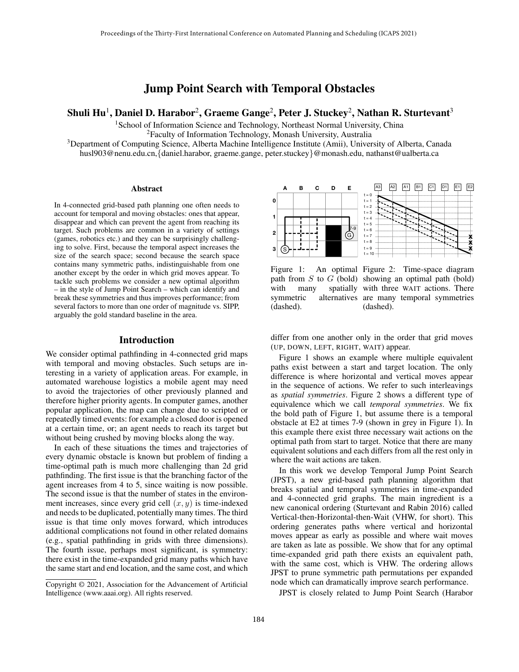# Jump Point Search with Temporal Obstacles

# Shuli Hu $^1$ , Daniel D. Harabor $^2$ , Graeme Gange $^2$ , Peter J. Stuckey $^2$ , Nathan R. Sturtevant $^3$

<sup>1</sup>School of Information Science and Technology, Northeast Normal University, China

<sup>2</sup>Faculty of Information Technology, Monash University, Australia

<sup>3</sup>Department of Computing Science, Alberta Machine Intelligence Institute (Amii), University of Alberta, Canada husl903@nenu.edu.cn,{daniel.harabor, graeme.gange, peter.stuckey}@monash.edu, nathanst@ualberta.ca

**0**

**1**

**12**

Abstract

In 4-connected grid-based path planning one often needs to account for temporal and moving obstacles: ones that appear, disappear and which can prevent the agent from reaching its target. Such problems are common in a variety of settings (games, robotics etc.) and they can be surprisingly challenging to solve. First, because the temporal aspect increases the size of the search space; second because the search space contains many symmetric paths, indistinguishable from one another except by the order in which grid moves appear. To tackle such problems we consider a new optimal algorithm – in the style of Jump Point Search – which can identify and break these symmetries and thus improves performance; from several factors to more than one order of magnitude vs. SIPP, arguably the gold standard baseline in the area.

#### Introduction

We consider optimal pathfinding in 4-connected grid maps with temporal and moving obstacles. Such setups are interesting in a variety of application areas. For example, in automated warehouse logistics a mobile agent may need to avoid the trajectories of other previously planned and therefore higher priority agents. In computer games, another popular application, the map can change due to scripted or repeatedly timed events: for example a closed door is opened at a certain time, or; an agent needs to reach its target but without being crushed by moving blocks along the way.

In each of these situations the times and trajectories of every dynamic obstacle is known but problem of finding a time-optimal path is much more challenging than 2d grid pathfinding. The first issue is that the branching factor of the agent increases from 4 to 5, since waiting is now possible. The second issue is that the number of states in the environment increases, since every grid cell  $(x, y)$  is time-indexed and needs to be duplicated, potentially many times. The third issue is that time only moves forward, which introduces additional complications not found in other related domains (e.g., spatial pathfinding in grids with three dimensions). The fourth issue, perhaps most significant, is symmetry: there exist in the time-expanded grid many paths which have the same start and end location, and the same cost, and which



(dashed).

t = 8 **x x x**

Figure 1: An optimal Figure 2: Time-space diagram path from  $S$  to  $G$  (bold) showing an optimal path (bold) with many spatially with three WAIT actions. There symmetric alternatives are many temporal symmetries (dashed).

differ from one another only in the order that grid moves (UP, DOWN, LEFT, RIGHT, WAIT) appear.

Figure 1 shows an example where multiple equivalent paths exist between a start and target location. The only difference is where horizontal and vertical moves appear in the sequence of actions. We refer to such interleavings as *spatial symmetries*. Figure 2 shows a different type of equivalence which we call *temporal symmetries*. We fix the bold path of Figure 1, but assume there is a temporal obstacle at E2 at times 7-9 (shown in grey in Figure 1). In this example there exist three necessary wait actions on the optimal path from start to target. Notice that there are many equivalent solutions and each differs from all the rest only in where the wait actions are taken.

In this work we develop Temporal Jump Point Search (JPST), a new grid-based path planning algorithm that breaks spatial and temporal symmetries in time-expanded and 4-connected grid graphs. The main ingredient is a new canonical ordering (Sturtevant and Rabin 2016) called Vertical-then-Horizontal-then-Wait (VHW, for short). This ordering generates paths where vertical and horizontal moves appear as early as possible and where wait moves are taken as late as possible. We show that for any optimal time-expanded grid path there exists an equivalent path, with the same cost, which is VHW. The ordering allows JPST to prune symmetric path permutations per expanded node which can dramatically improve search performance.

JPST is closely related to Jump Point Search (Harabor

Copyright © 2021, Association for the Advancement of Artificial Intelligence (www.aaai.org). All rights reserved.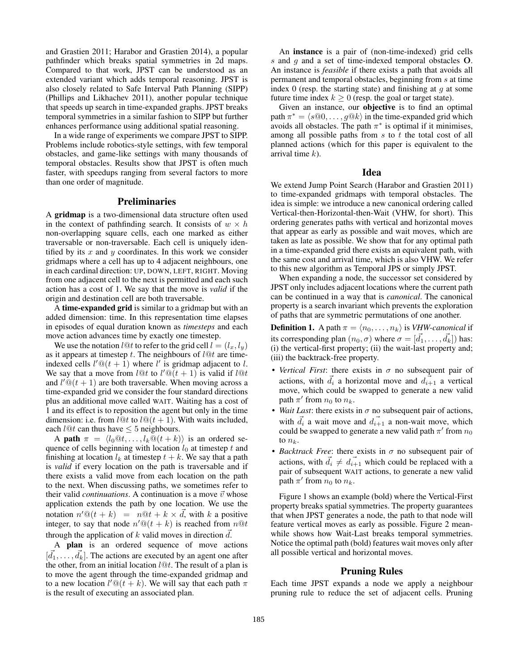and Grastien 2011; Harabor and Grastien 2014), a popular pathfinder which breaks spatial symmetries in 2d maps. Compared to that work, JPST can be understood as an extended variant which adds temporal reasoning. JPST is also closely related to Safe Interval Path Planning (SIPP) (Phillips and Likhachev 2011), another popular technique that speeds up search in time-expanded graphs. JPST breaks temporal symmetries in a similar fashion to SIPP but further enhances performance using additional spatial reasoning.

In a wide range of experiments we compare JPST to SIPP. Problems include robotics-style settings, with few temporal obstacles, and game-like settings with many thousands of temporal obstacles. Results show that JPST is often much faster, with speedups ranging from several factors to more than one order of magnitude.

#### Preliminaries

A gridmap is a two-dimensional data structure often used in the context of pathfinding search. It consists of  $w \times h$ non-overlapping square cells, each one marked as either traversable or non-traversable. Each cell is uniquely identified by its  $x$  and  $y$  coordinates. In this work we consider gridmaps where a cell has up to 4 adjacent neighbours, one in each cardinal direction: UP, DOWN, LEFT, RIGHT. Moving from one adjacent cell to the next is permitted and each such action has a cost of 1. We say that the move is *valid* if the origin and destination cell are both traversable.

A time-expanded grid is similar to a gridmap but with an added dimension: time. In this representation time elapses in episodes of equal duration known as *timesteps* and each move action advances time by exactly one timestep.

We use the notation l@t to refer to the grid cell  $l = (l_x, l_y)$ as it appears at timestep  $t$ . The neighbours of  $l@t$  are timeindexed cells  $l' @ (t + 1)$  where l' is gridmap adjacent to l. We say that a move from l@t to  $l' @ (t + 1)$  is valid if l@t and  $l' @ (t + 1)$  are both traversable. When moving across a time-expanded grid we consider the four standard directions plus an additional move called WAIT. Waiting has a cost of 1 and its effect is to reposition the agent but only in the time dimension: i.e. from  $l@t$  to  $l@(t + 1)$ . With waits included, each  $l@t$  can thus have  $\leq 5$  neighbours.

A path  $\pi = \langle l_0 @ t, \ldots, l_k @ (t + k) \rangle$  is an ordered sequence of cells beginning with location  $l_0$  at timestep  $t$  and finishing at location  $l_k$  at timestep  $t + k$ . We say that a path is *valid* if every location on the path is traversable and if there exists a valid move from each location on the path to the next. When discussing paths, we sometimes refer to their valid *continuations*. A continuation is a move  $\vec{v}$  whose application extends the path by one location. We use the notation  $n' @ (t + k) = n @ t + k \times \vec{d}$ , with k a positive integer, to say that node  $n' @ (t + k)$  is reached from  $n @ t$ through the application of k valid moves in direction  $\overline{d}$ .

A plan is an ordered sequence of move actions  $[\vec{d}_1, \ldots, \vec{d}_k]$ . The actions are executed by an agent one after the other, from an initial location  $l@t$ . The result of a plan is to move the agent through the time-expanded gridmap and to a new location  $l' @ (t + k)$ . We will say that each path  $\pi$ is the result of executing an associated plan.

An instance is a pair of (non-time-indexed) grid cells s and q and a set of time-indexed temporal obstacles  $O$ . An instance is *feasible* if there exists a path that avoids all permanent and temporal obstacles, beginning from s at time index 0 (resp. the starting state) and finishing at  $g$  at some future time index  $k \geq 0$  (resp. the goal or target state).

Given an instance, our objective is to find an optimal path  $\pi^* = \langle s@0, \ldots, g@k \rangle$  in the time-expanded grid which avoids all obstacles. The path  $\pi^*$  is optimal if it minimises, among all possible paths from  $s$  to  $t$  the total cost of all planned actions (which for this paper is equivalent to the arrival time  $k$ ).

## Idea

We extend Jump Point Search (Harabor and Grastien 2011) to time-expanded gridmaps with temporal obstacles. The idea is simple: we introduce a new canonical ordering called Vertical-then-Horizontal-then-Wait (VHW, for short). This ordering generates paths with vertical and horizontal moves that appear as early as possible and wait moves, which are taken as late as possible. We show that for any optimal path in a time-expanded grid there exists an equivalent path, with the same cost and arrival time, which is also VHW. We refer to this new algorithm as Temporal JPS or simply JPST.

When expanding a node, the successor set considered by JPST only includes adjacent locations where the current path can be continued in a way that is *canonical*. The canonical property is a search invariant which prevents the exploration of paths that are symmetric permutations of one another.

**Definition 1.** A path  $\pi = \langle n_0, \ldots, n_k \rangle$  is *VHW-canonical* if its corresponding plan  $(n_0, \sigma)$  where  $\sigma = [\vec{d_1}, \dots, \vec{d_k}]$ ) has: (i) the vertical-first property; (ii) the wait-last property and; (iii) the backtrack-free property.

- *Vertical First*: there exists in  $\sigma$  no subsequent pair of actions, with  $\overrightarrow{d}_i$  a horizontal move and  $\overrightarrow{d}_{i+1}$  a vertical move, which could be swapped to generate a new valid path  $\pi'$  from  $n_0$  to  $n_k$ .
- *Wait Last*: there exists in  $\sigma$  no subsequent pair of actions, with  $\vec{d}_i$  a wait move and  $\vec{d}_{i+1}$  a non-wait move, which could be swapped to generate a new valid path  $\pi'$  from  $n_0$ to  $n_k$ .
- *Backtrack Free*: there exists in  $\sigma$  no subsequent pair of actions, with  $\vec{d}_i \neq \vec{d}_{i+1}$  which could be replaced with a pair of subsequent WAIT actions, to generate a new valid path  $\pi'$  from  $n_0$  to  $n_k$ .

Figure 1 shows an example (bold) where the Vertical-First property breaks spatial symmetries. The property guarantees that when JPST generates a node, the path to that node will feature vertical moves as early as possible. Figure 2 meanwhile shows how Wait-Last breaks temporal symmetries. Notice the optimal path (bold) features wait moves only after all possible vertical and horizontal moves.

#### Pruning Rules

Each time JPST expands a node we apply a neighbour pruning rule to reduce the set of adjacent cells. Pruning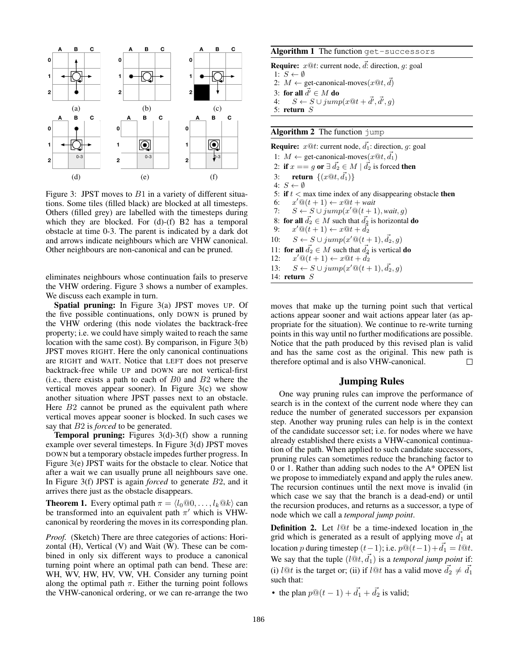

Figure 3: JPST moves to  $B1$  in a variety of different situations. Some tiles (filled black) are blocked at all timesteps. Others (filled grey) are labelled with the timesteps during which they are blocked. For (d)-(f) B2 has a temporal obstacle at time 0-3. The parent is indicated by a dark dot and arrows indicate neighbours which are VHW canonical. Other neighbours are non-canonical and can be pruned.

eliminates neighbours whose continuation fails to preserve the VHW ordering. Figure 3 shows a number of examples. We discuss each example in turn.

Spatial pruning: In Figure 3(a) JPST moves UP. Of the five possible continuations, only DOWN is pruned by the VHW ordering (this node violates the backtrack-free property; i.e. we could have simply waited to reach the same location with the same cost). By comparison, in Figure 3(b) JPST moves RIGHT. Here the only canonical continuations are RIGHT and WAIT. Notice that LEFT does not preserve backtrack-free while UP and DOWN are not vertical-first (i.e., there exists a path to each of  $B0$  and  $B2$  where the vertical moves appear sooner). In Figure 3(c) we show another situation where JPST passes next to an obstacle. Here  $B2$  cannot be pruned as the equivalent path where vertical moves appear sooner is blocked. In such cases we say that B2 is *forced* to be generated.

**Temporal pruning:** Figures  $3(d)$ - $3(f)$  show a running example over several timesteps. In Figure 3(d) JPST moves DOWN but a temporary obstacle impedes further progress. In Figure 3(e) JPST waits for the obstacle to clear. Notice that after a wait we can usually prune all neighbours save one. In Figure 3(f) JPST is again *forced* to generate B2, and it arrives there just as the obstacle disappears.

**Theorem 1.** Every optimal path  $\pi = \langle l_0@0, \ldots, l_k@k \rangle$  can be transformed into an equivalent path  $\pi'$  which is VHWcanonical by reordering the moves in its corresponding plan.

*Proof.* (Sketch) There are three categories of actions: Horizontal (H), Vertical (V) and Wait (W). These can be combined in only six different ways to produce a canonical turning point where an optimal path can bend. These are: WH, WV, HW, HV, VW, VH. Consider any turning point along the optimal path  $\pi$ . Either the turning point follows the VHW-canonical ordering, or we can re-arrange the two

# Algorithm 1 The function get-successors

**Require:**  $x@t$ : current node,  $\vec{d}$ : direction,  $g$ : goal 1:  $S \leftarrow \emptyset$ 2:  $M \leftarrow$  get-canonical-moves $(x@t, d)$ 3: for all  $\vec{d'} \in M$  do<br>4:  $S \leftarrow S \cup i \text{umr}$ 4:  $S \leftarrow S \cup jump(x@t + \vec{d'}, \vec{d'}, g)$ 5: return S

#### Algorithm 2 The function jump

**Require:**  $x@t$ : current node,  $\overrightarrow{d_1}$ : direction, g: goal 1:  $M \leftarrow$  get-canonical-moves $(x@t, d_1)$ 2: if  $x == g$  or  $\exists \vec{d_2} \in M \mid \vec{d_2}$  is forced then 3: **return**  $\{(x@t, \vec{d_1})\}$ 4:  $S \leftarrow \emptyset$ 5: if  $t <$  max time index of any disappearing obstacle then 6:  $x' @ (t+1) \leftarrow x @ t + wait$ 7:  $S \leftarrow S \cup jump(x'@(t+1), wait, g)$ 8: **for all**  $\vec{d_2} \in M$  such that  $\vec{d_2}$  is horizontal **do**<br>9:  $x' @ (t+1) \leftarrow x @ t + \vec{d_2}$ 9:  $x' @ (\tilde{t}+1) \leftarrow x @ t + \tilde{d_2}$ 10:  $S \leftarrow S \cup jump(x'@(t+1), \vec{d_2}, g)$ 11: for all  $\vec{d}_2 \in M$  such that  $\vec{d}_2$  is vertical do  $12:$  $x' @ (t + 1) \leftarrow x @ t + d_2$ 13:  $S \leftarrow S \cup jump(x'@(t+1), \vec{d_2}, g)$ 14: return S

moves that make up the turning point such that vertical actions appear sooner and wait actions appear later (as appropriate for the situation). We continue to re-write turning points in this way until no further modifications are possible. Notice that the path produced by this revised plan is valid and has the same cost as the original. This new path is therefore optimal and is also VHW-canonical. П

#### Jumping Rules

One way pruning rules can improve the performance of search is in the context of the current node where they can reduce the number of generated successors per expansion step. Another way pruning rules can help is in the context of the candidate successor set; i.e. for nodes where we have already established there exists a VHW-canonical continuation of the path. When applied to such candidate successors, pruning rules can sometimes reduce the branching factor to 0 or 1. Rather than adding such nodes to the A\* OPEN list we propose to immediately expand and apply the rules anew. The recursion continues until the next move is invalid (in which case we say that the branch is a dead-end) or until the recursion produces, and returns as a successor, a type of node which we call a *temporal jump point*.

**Definition 2.** Let  $l@t$  be a time-indexed location in the grid which is generated as a result of applying move  $\overrightarrow{d}_1$  at location p during timestep  $(t-1)$ ; i.e.  $p@(t-1)+d_1 = l@t$ . We say that the tuple  $(l@t, d_1)$  is a *temporal jump point* if: (i)  $l@t$  is the target or; (ii) if  $l@t$  has a valid move  $\vec{d}_2 \neq \vec{d}_1$ such that:

• the plan  $p@(t-1) + \overrightarrow{d_1} + \overrightarrow{d_2}$  is valid;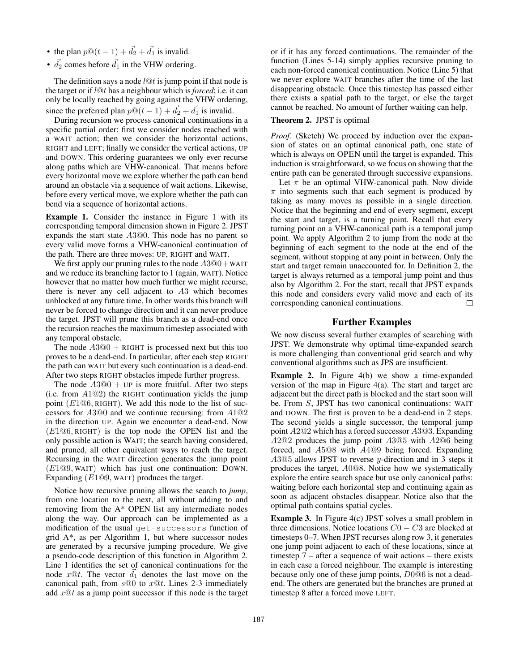- the plan  $p@(t-1) + \overrightarrow{d_2} + \overrightarrow{d_1}$  is invalid.
- $\vec{d}_2$  comes before  $\vec{d}_1$  in the VHW ordering.

The definition says a node  $l@t$  is jump point if that node is the target or if l@t has a neighbour which is *forced*; i.e. it can only be locally reached by going against the VHW ordering, since the preferred plan  $p@(t-1) + d_2 + d_1$  is invalid.

During recursion we process canonical continuations in a specific partial order: first we consider nodes reached with a WAIT action; then we consider the horizontal actions, RIGHT and LEFT; finally we consider the vertical actions, UP and DOWN. This ordering guarantees we only ever recurse along paths which are VHW-canonical. That means before every horizontal move we explore whether the path can bend around an obstacle via a sequence of wait actions. Likewise, before every vertical move, we explore whether the path can bend via a sequence of horizontal actions.

Example 1. Consider the instance in Figure 1 with its corresponding temporal dimension shown in Figure 2. JPST expands the start state A3@0. This node has no parent so every valid move forms a VHW-canonical continuation of the path. There are three moves: UP, RIGHT and WAIT.

We first apply our pruning rules to the node  $A3@0 + WAIT$ and we reduce its branching factor to 1 (again, WAIT). Notice however that no matter how much further we might recurse, there is never any cell adjacent to A3 which becomes unblocked at any future time. In other words this branch will never be forced to change direction and it can never produce the target. JPST will prune this branch as a dead-end once the recursion reaches the maximum timestep associated with any temporal obstacle.

The node  $A3@0 + RIGHT$  is processed next but this too proves to be a dead-end. In particular, after each step RIGHT the path can WAIT but every such continuation is a dead-end. After two steps RIGHT obstacles impede further progress.

The node  $A3@0 + UP$  is more fruitful. After two steps (i.e. from  $A1@2$ ) the RIGHT continuation yields the jump point  $(E1@6, RIGHT)$ . We add this node to the list of successors for A3@0 and we continue recursing: from A1@2 in the direction UP. Again we encounter a dead-end. Now  $(E1@6, RIGHT)$  is the top node the OPEN list and the only possible action is WAIT; the search having considered, and pruned, all other equivalent ways to reach the target. Recursing in the WAIT direction generates the jump point  $(E1@9, WAIT)$  which has just one continuation: DOWN. Expanding  $(E1@9, WAIT)$  produces the target.

Notice how recursive pruning allows the search to *jump*, from one location to the next, all without adding to and removing from the A\* OPEN list any intermediate nodes along the way. Our approach can be implemented as a modification of the usual get-successors function of grid A\*, as per Algorithm 1, but where successor nodes are generated by a recursive jumping procedure. We give a pseudo-code description of this function in Algorithm 2. Line 1 identifies the set of canonical continuations for the node  $x@t$ . The vector  $\overrightarrow{d}_1$  denotes the last move on the canonical path, from  $s@0$  to  $x@t$ . Lines 2-3 immediately add  $x@t$  as a jump point successor if this node is the target

or if it has any forced continuations. The remainder of the function (Lines 5-14) simply applies recursive pruning to each non-forced canonical continuation. Notice (Line 5) that we never explore WAIT branches after the time of the last disappearing obstacle. Once this timestep has passed either there exists a spatial path to the target, or else the target cannot be reached. No amount of further waiting can help.

#### Theorem 2. JPST is optimal

*Proof.* (Sketch) We proceed by induction over the expansion of states on an optimal canonical path, one state of which is always on OPEN until the target is expanded. This induction is straightforward, so we focus on showing that the entire path can be generated through successive expansions.

Let  $\pi$  be an optimal VHW-canonical path. Now divide  $\pi$  into segments such that each segment is produced by taking as many moves as possible in a single direction. Notice that the beginning and end of every segment, except the start and target, is a turning point. Recall that every turning point on a VHW-canonical path is a temporal jump point. We apply Algorithm 2 to jump from the node at the beginning of each segment to the node at the end of the segment, without stopping at any point in between. Only the start and target remain unaccounted for. In Definition 2, the target is always returned as a temporal jump point and thus also by Algorithm 2. For the start, recall that JPST expands this node and considers every valid move and each of its corresponding canonical continuations.  $\Box$ 

### Further Examples

We now discuss several further examples of searching with JPST. We demonstrate why optimal time-expanded search is more challenging than conventional grid search and why conventional algorithms such as JPS are insufficient.

Example 2. In Figure 4(b) we show a time-expanded version of the map in Figure 4(a). The start and target are adjacent but the direct path is blocked and the start soon will be. From S, JPST has two canonical continuations: WAIT and DOWN. The first is proven to be a dead-end in 2 steps. The second yields a single successor, the temporal jump point A2@2 which has a forced successor A3@3. Expanding A2@2 produces the jump point A3@5 with A2@6 being forced, and A5@8 with A4@9 being forced. Expanding  $A3@5$  allows JPST to reverse y-direction and in 3 steps it produces the target, A0@8. Notice how we systematically explore the entire search space but use only canonical paths: waiting before each horizontal step and continuing again as soon as adjacent obstacles disappear. Notice also that the optimal path contains spatial cycles.

Example 3. In Figure 4(c) JPST solves a small problem in three dimensions. Notice locations  $C_0 - C_3$  are blocked at timesteps 0–7. When JPST recurses along row 3, it generates one jump point adjacent to each of these locations, since at timestep 7 – after a sequence of wait actions – there exists in each case a forced neighbour. The example is interesting because only one of these jump points, D0@6 is not a deadend. The others are generated but the branches are pruned at timestep 8 after a forced move LEFT.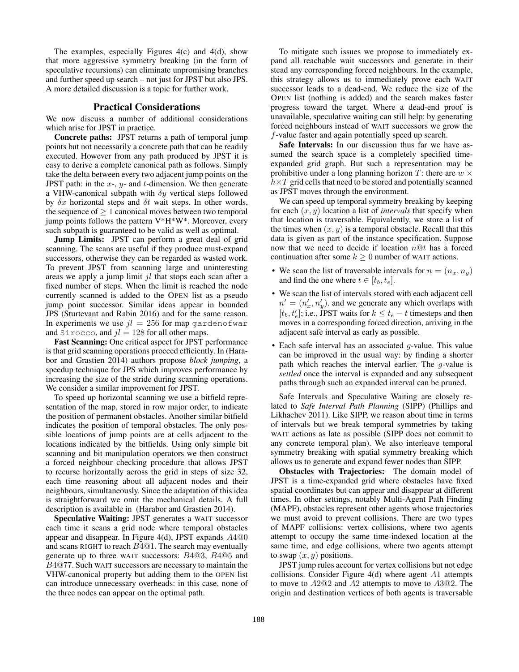The examples, especially Figures 4(c) and 4(d), show that more aggressive symmetry breaking (in the form of speculative recursions) can eliminate unpromising branches and further speed up search – not just for JPST but also JPS. A more detailed discussion is a topic for further work.

## Practical Considerations

We now discuss a number of additional considerations which arise for JPST in practice.

Concrete paths: JPST returns a path of temporal jump points but not necessarily a concrete path that can be readily executed. However from any path produced by JPST it is easy to derive a complete canonical path as follows. Simply take the delta between every two adjacent jump points on the JPST path: in the  $x$ -,  $y$ - and  $t$ -dimension. We then generate a VHW-canonical subpath with  $\delta y$  vertical steps followed by  $\delta x$  horizontal steps and  $\delta t$  wait steps. In other words, the sequence of  $> 1$  canonical moves between two temporal jump points follows the pattern  $V^*H^*W^*$ . Moreover, every such subpath is guaranteed to be valid as well as optimal.

**Jump Limits:** JPST can perform a great deal of grid scanning. The scans are useful if they produce must-expand successors, otherwise they can be regarded as wasted work. To prevent JPST from scanning large and uninteresting areas we apply a jump limit  $jl$  that stops each scan after a fixed number of steps. When the limit is reached the node currently scanned is added to the OPEN list as a pseudo jump point successor. Similar ideas appear in bounded JPS (Sturtevant and Rabin 2016) and for the same reason. In experiments we use  $jl = 256$  for map gardenofwar and Sirocco, and  $il = 128$  for all other maps.

Fast Scanning: One critical aspect for JPST performance is that grid scanning operations proceed efficiently. In (Harabor and Grastien 2014) authors propose *block jumping*, a speedup technique for JPS which improves performance by increasing the size of the stride during scanning operations. We consider a similar improvement for JPST.

To speed up horizontal scanning we use a bitfield representation of the map, stored in row major order, to indicate the position of permanent obstacles. Another similar bitfield indicates the position of temporal obstacles. The only possible locations of jump points are at cells adjacent to the locations indicated by the bitfields. Using only simple bit scanning and bit manipulation operators we then construct a forced neighbour checking procedure that allows JPST to recurse horizontally across the grid in steps of size 32, each time reasoning about all adjacent nodes and their neighbours, simultaneously. Since the adaptation of this idea is straightforward we omit the mechanical details. A full description is available in (Harabor and Grastien 2014).

Speculative Waiting: JPST generates a WAIT successor each time it scans a grid node where temporal obstacles appear and disappear. In Figure 4(d), JPST expands A4@0 and scans RIGHT to reach B4@1. The search may eventually generate up to three WAIT successors: B4@3, B4@5 and B4@77. Such WAIT successors are necessary to maintain the VHW-canonical property but adding them to the OPEN list can introduce unnecessary overheads: in this case, none of the three nodes can appear on the optimal path.

To mitigate such issues we propose to immediately expand all reachable wait successors and generate in their stead any corresponding forced neighbours. In the example, this strategy allows us to immediately prove each WAIT successor leads to a dead-end. We reduce the size of the OPEN list (nothing is added) and the search makes faster progress toward the target. Where a dead-end proof is unavailable, speculative waiting can still help: by generating forced neighbours instead of WAIT successors we grow the f-value faster and again potentially speed up search.

Safe Intervals: In our discussion thus far we have assumed the search space is a completely specified timeexpanded grid graph. But such a representation may be prohibitive under a long planning horizon T: there are  $w \times$  $h \times T$  grid cells that need to be stored and potentially scanned as JPST moves through the environment.

We can speed up temporal symmetry breaking by keeping for each (x, y) location a list of *intervals* that specify when that location is traversable. Equivalently, we store a list of the times when  $(x, y)$  is a temporal obstacle. Recall that this data is given as part of the instance specification. Suppose now that we need to decide if location  $n@t$  has a forced continuation after some  $k \geq 0$  number of WAIT actions.

- We scan the list of traversable intervals for  $n = (n_x, n_y)$ and find the one where  $t \in [t_b, t_e]$ .
- We scan the list of intervals stored with each adjacent cell  $n' = (n'_x, n'_y)$  and we generate any which overlaps with  $[t_b, t_e']$ ; i.e., JPST waits for  $k \leq t_e - t$  timesteps and then moves in a corresponding forced direction, arriving in the adjacent safe interval as early as possible.
- Each safe interval has an associated  $g$ -value. This value can be improved in the usual way: by finding a shorter path which reaches the interval earlier. The g-value is *settled* once the interval is expanded and any subsequent paths through such an expanded interval can be pruned.

Safe Intervals and Speculative Waiting are closely related to *Safe Interval Path Planning* (SIPP) (Phillips and Likhachev 2011). Like SIPP, we reason about time in terms of intervals but we break temporal symmetries by taking WAIT actions as late as possible (SIPP does not commit to any concrete temporal plan). We also interleave temporal symmetry breaking with spatial symmetry breaking which allows us to generate and expand fewer nodes than SIPP.

Obstacles with Trajectories: The domain model of JPST is a time-expanded grid where obstacles have fixed spatial coordinates but can appear and disappear at different times. In other settings, notably Multi-Agent Path Finding (MAPF), obstacles represent other agents whose trajectories we must avoid to prevent collisions. There are two types of MAPF collisions: vertex collisions, where two agents attempt to occupy the same time-indexed location at the same time, and edge collisions, where two agents attempt to swap  $(x, y)$  positions.

JPST jump rules account for vertex collisions but not edge collisions. Consider Figure 4(d) where agent A1 attempts to move to A2@2 and A2 attempts to move to A3@2. The origin and destination vertices of both agents is traversable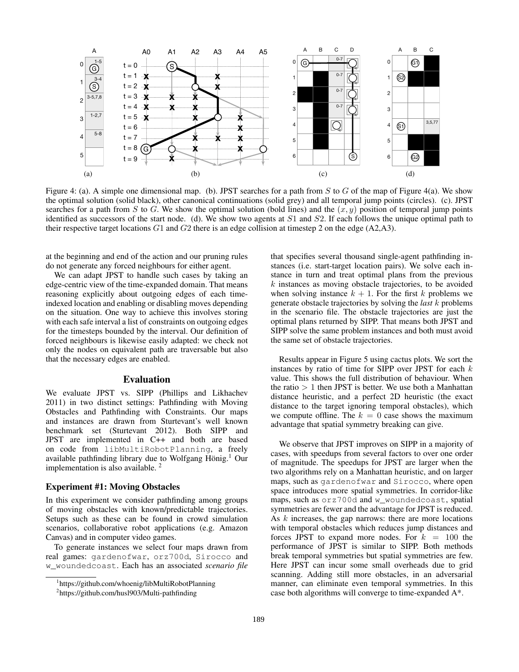![](_page_5_Figure_0.jpeg)

Figure 4: (a). A simple one dimensional map. (b). JPST searches for a path from  $S$  to  $G$  of the map of Figure 4(a). We show the optimal solution (solid black), other canonical continuations (solid grey) and all temporal jump points (circles). (c). JPST searches for a path from S to G. We show the optimal solution (bold lines) and the  $(x, y)$  position of temporal jump points identified as successors of the start node. (d). We show two agents at  $S1$  and  $S2$ . If each follows the unique optimal path to their respective target locations  $G1$  and  $G2$  there is an edge collision at timestep 2 on the edge (A2,A3).

at the beginning and end of the action and our pruning rules do not generate any forced neighbours for either agent.

We can adapt JPST to handle such cases by taking an edge-centric view of the time-expanded domain. That means reasoning explicitly about outgoing edges of each timeindexed location and enabling or disabling moves depending on the situation. One way to achieve this involves storing with each safe interval a list of constraints on outgoing edges for the timesteps bounded by the interval. Our definition of forced neighbours is likewise easily adapted: we check not only the nodes on equivalent path are traversable but also that the necessary edges are enabled.

# Evaluation

We evaluate JPST vs. SIPP (Phillips and Likhachev 2011) in two distinct settings: Pathfinding with Moving Obstacles and Pathfinding with Constraints. Our maps and instances are drawn from Sturtevant's well known benchmark set (Sturtevant 2012). Both SIPP and JPST are implemented in C++ and both are based on code from libMultiRobotPlanning, a freely available pathfinding library due to Wolfgang Hönig.<sup>1</sup> Our implementation is also available.  $2^2$ 

#### Experiment #1: Moving Obstacles

In this experiment we consider pathfinding among groups of moving obstacles with known/predictable trajectories. Setups such as these can be found in crowd simulation scenarios, collaborative robot applications (e.g. Amazon Canvas) and in computer video games.

To generate instances we select four maps drawn from real games: gardenofwar, orz700d, Sirocco and w\_woundedcoast. Each has an associated *scenario file*

that specifies several thousand single-agent pathfinding instances (i.e. start-target location pairs). We solve each instance in turn and treat optimal plans from the previous  $k$  instances as moving obstacle trajectories, to be avoided when solving instance  $k + 1$ . For the first k problems we generate obstacle trajectories by solving the *last* k problems in the scenario file. The obstacle trajectories are just the optimal plans returned by SIPP. That means both JPST and SIPP solve the same problem instances and both must avoid the same set of obstacle trajectories.

Results appear in Figure 5 using cactus plots. We sort the instances by ratio of time for SIPP over JPST for each  $k$ value. This shows the full distribution of behaviour. When the ratio  $> 1$  then JPST is better. We use both a Manhattan distance heuristic, and a perfect 2D heuristic (the exact distance to the target ignoring temporal obstacles), which we compute offline. The  $k = 0$  case shows the maximum advantage that spatial symmetry breaking can give.

We observe that JPST improves on SIPP in a majority of cases, with speedups from several factors to over one order of magnitude. The speedups for JPST are larger when the two algorithms rely on a Manhattan heuristic, and on larger maps, such as gardenofwar and Sirocco, where open space introduces more spatial symmetries. In corridor-like maps, such as orz700d and w\_woundedcoast, spatial symmetries are fewer and the advantage for JPST is reduced. As  $k$  increases, the gap narrows: there are more locations with temporal obstacles which reduces jump distances and forces JPST to expand more nodes. For  $k = 100$  the performance of JPST is similar to SIPP. Both methods break temporal symmetries but spatial symmetries are few. Here JPST can incur some small overheads due to grid scanning. Adding still more obstacles, in an adversarial manner, can eliminate even temporal symmetries. In this case both algorithms will converge to time-expanded A\*.

<sup>&</sup>lt;sup>1</sup>https://github.com/whoenig/libMultiRobotPlanning

<sup>2</sup> https://github.com/husl903/Multi-pathfinding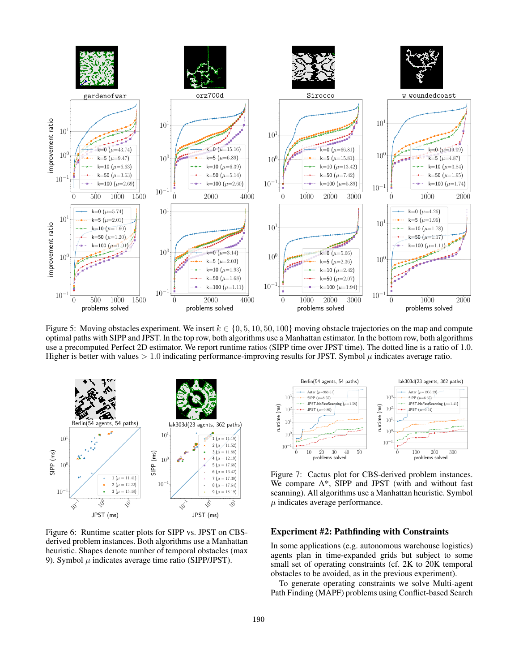![](_page_6_Figure_0.jpeg)

Figure 5: Moving obstacles experiment. We insert  $k \in \{0, 5, 10, 50, 100\}$  moving obstacle trajectories on the map and compute optimal paths with SIPP and JPST. In the top row, both algorithms use a Manhattan estimator. In the bottom row, both algorithms use a precomputed Perfect 2D estimator. We report runtime ratios (SIPP time over JPST time). The dotted line is a ratio of 1.0. Higher is better with values  $> 1.0$  indicating performance-improving results for JPST. Symbol  $\mu$  indicates average ratio.

![](_page_6_Figure_2.jpeg)

Figure 6: Runtime scatter plots for SIPP vs. JPST on CBSderived problem instances. Both algorithms use a Manhattan heuristic. Shapes denote number of temporal obstacles (max 9). Symbol  $\mu$  indicates average time ratio (SIPP/JPST).

![](_page_6_Figure_4.jpeg)

Figure 7: Cactus plot for CBS-derived problem instances. We compare A\*, SIPP and JPST (with and without fast scanning). All algorithms use a Manhattan heuristic. Symbol  $\mu$  indicates average performance.

# Experiment #2: Pathfinding with Constraints

In some applications (e.g. autonomous warehouse logistics) agents plan in time-expanded grids but subject to some small set of operating constraints (cf. 2K to 20K temporal obstacles to be avoided, as in the previous experiment).

To generate operating constraints we solve Multi-agent Path Finding (MAPF) problems using Conflict-based Search